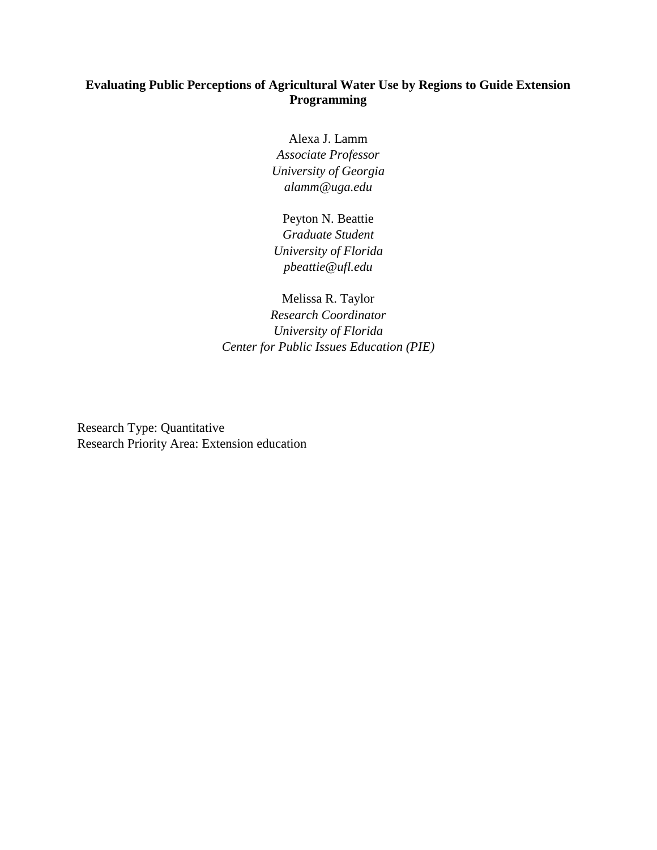# **Evaluating Public Perceptions of Agricultural Water Use by Regions to Guide Extension Programming**

Alexa J. Lamm *Associate Professor University of Georgia alamm@uga.edu*

Peyton N. Beattie *Graduate Student University of Florida pbeattie@ufl.edu*

Melissa R. Taylor *Research Coordinator University of Florida Center for Public Issues Education (PIE)*

Research Type: Quantitative Research Priority Area: Extension education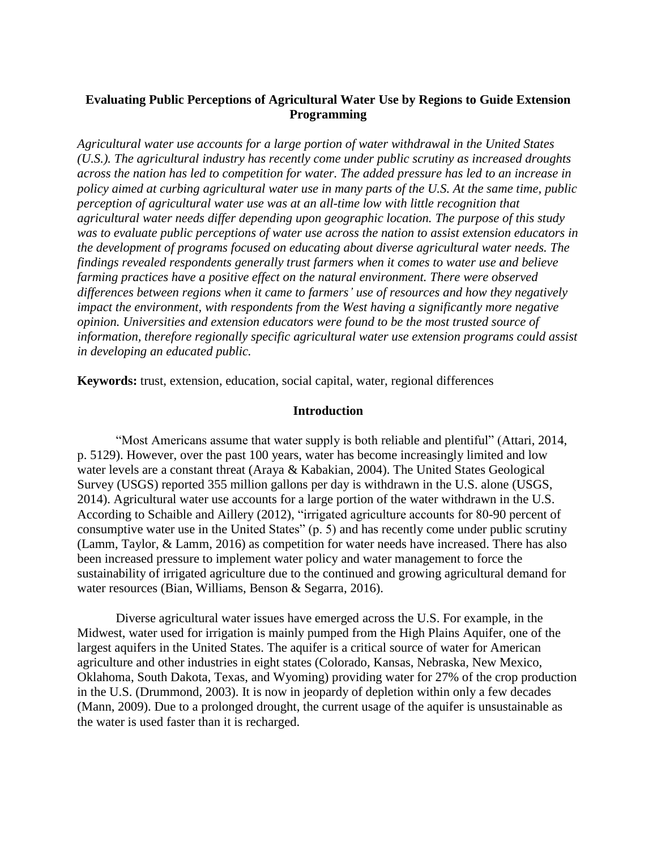# **Evaluating Public Perceptions of Agricultural Water Use by Regions to Guide Extension Programming**

*Agricultural water use accounts for a large portion of water withdrawal in the United States (U.S.). The agricultural industry has recently come under public scrutiny as increased droughts across the nation has led to competition for water. The added pressure has led to an increase in policy aimed at curbing agricultural water use in many parts of the U.S. At the same time, public perception of agricultural water use was at an all-time low with little recognition that agricultural water needs differ depending upon geographic location. The purpose of this study was to evaluate public perceptions of water use across the nation to assist extension educators in the development of programs focused on educating about diverse agricultural water needs. The findings revealed respondents generally trust farmers when it comes to water use and believe farming practices have a positive effect on the natural environment. There were observed differences between regions when it came to farmers' use of resources and how they negatively impact the environment, with respondents from the West having a significantly more negative opinion. Universities and extension educators were found to be the most trusted source of information, therefore regionally specific agricultural water use extension programs could assist in developing an educated public.*

**Keywords:** trust, extension, education, social capital, water, regional differences

### **Introduction**

"Most Americans assume that water supply is both reliable and plentiful" (Attari, 2014, p. 5129). However, over the past 100 years, water has become increasingly limited and low water levels are a constant threat (Araya & Kabakian, 2004). The United States Geological Survey (USGS) reported 355 million gallons per day is withdrawn in the U.S. alone (USGS, 2014). Agricultural water use accounts for a large portion of the water withdrawn in the U.S. According to Schaible and Aillery (2012), "irrigated agriculture accounts for 80-90 percent of consumptive water use in the United States" (p. 5) and has recently come under public scrutiny (Lamm, Taylor, & Lamm, 2016) as competition for water needs have increased. There has also been increased pressure to implement water policy and water management to force the sustainability of irrigated agriculture due to the continued and growing agricultural demand for water resources (Bian, Williams, Benson & Segarra, 2016).

Diverse agricultural water issues have emerged across the U.S. For example, in the Midwest, water used for irrigation is mainly pumped from the High Plains Aquifer, one of the largest aquifers in the United States. The aquifer is a critical source of water for American agriculture and other industries in eight states (Colorado, Kansas, Nebraska, New Mexico, Oklahoma, South Dakota, Texas, and Wyoming) providing water for 27% of the crop production in the U.S. (Drummond, 2003). It is now in jeopardy of depletion within only a few decades (Mann, 2009). Due to a prolonged drought, the current usage of the aquifer is unsustainable as the water is used faster than it is recharged.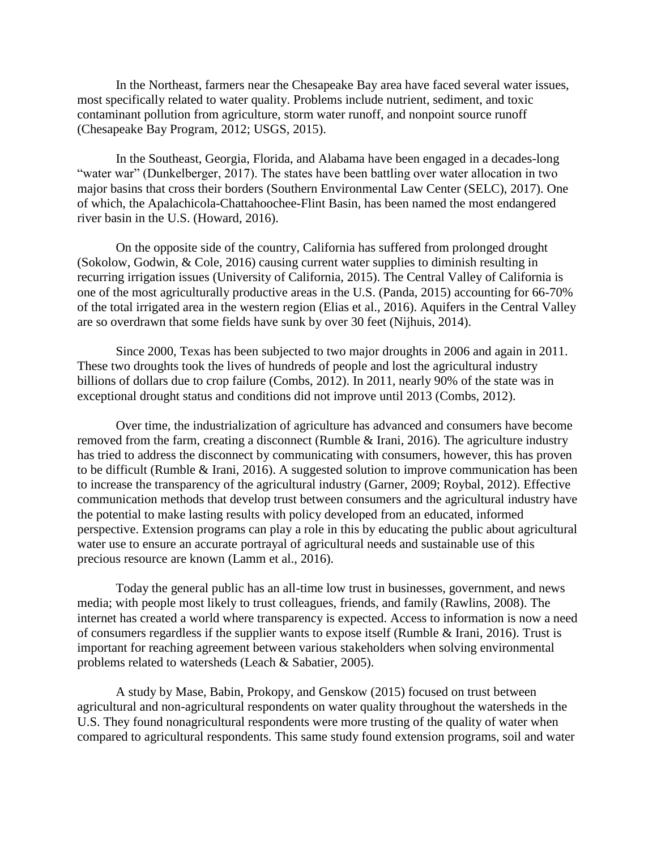In the Northeast, farmers near the Chesapeake Bay area have faced several water issues, most specifically related to water quality. Problems include nutrient, sediment, and toxic contaminant pollution from agriculture, storm water runoff, and nonpoint source runoff (Chesapeake Bay Program, 2012; USGS, 2015).

In the Southeast, Georgia, Florida, and Alabama have been engaged in a decades-long "water war" (Dunkelberger, 2017). The states have been battling over water allocation in two major basins that cross their borders (Southern Environmental Law Center (SELC), 2017). One of which, the Apalachicola-Chattahoochee-Flint Basin, has been named the most endangered river basin in the U.S. (Howard, 2016).

On the opposite side of the country, California has suffered from prolonged drought (Sokolow, Godwin, & Cole, 2016) causing current water supplies to diminish resulting in recurring irrigation issues (University of California, 2015). The Central Valley of California is one of the most agriculturally productive areas in the U.S. (Panda, 2015) accounting for 66-70% of the total irrigated area in the western region (Elias et al., 2016). Aquifers in the Central Valley are so overdrawn that some fields have sunk by over 30 feet (Nijhuis, 2014).

Since 2000, Texas has been subjected to two major droughts in 2006 and again in 2011. These two droughts took the lives of hundreds of people and lost the agricultural industry billions of dollars due to crop failure (Combs, 2012). In 2011, nearly 90% of the state was in exceptional drought status and conditions did not improve until 2013 (Combs, 2012).

Over time, the industrialization of agriculture has advanced and consumers have become removed from the farm, creating a disconnect (Rumble & Irani, 2016). The agriculture industry has tried to address the disconnect by communicating with consumers, however, this has proven to be difficult (Rumble & Irani, 2016). A suggested solution to improve communication has been to increase the transparency of the agricultural industry (Garner, 2009; Roybal, 2012). Effective communication methods that develop trust between consumers and the agricultural industry have the potential to make lasting results with policy developed from an educated, informed perspective. Extension programs can play a role in this by educating the public about agricultural water use to ensure an accurate portrayal of agricultural needs and sustainable use of this precious resource are known (Lamm et al., 2016).

Today the general public has an all-time low trust in businesses, government, and news media; with people most likely to trust colleagues, friends, and family (Rawlins, 2008). The internet has created a world where transparency is expected. Access to information is now a need of consumers regardless if the supplier wants to expose itself (Rumble & Irani, 2016). Trust is important for reaching agreement between various stakeholders when solving environmental problems related to watersheds (Leach & Sabatier, 2005).

A study by Mase, Babin, Prokopy, and Genskow (2015) focused on trust between agricultural and non-agricultural respondents on water quality throughout the watersheds in the U.S. They found nonagricultural respondents were more trusting of the quality of water when compared to agricultural respondents. This same study found extension programs, soil and water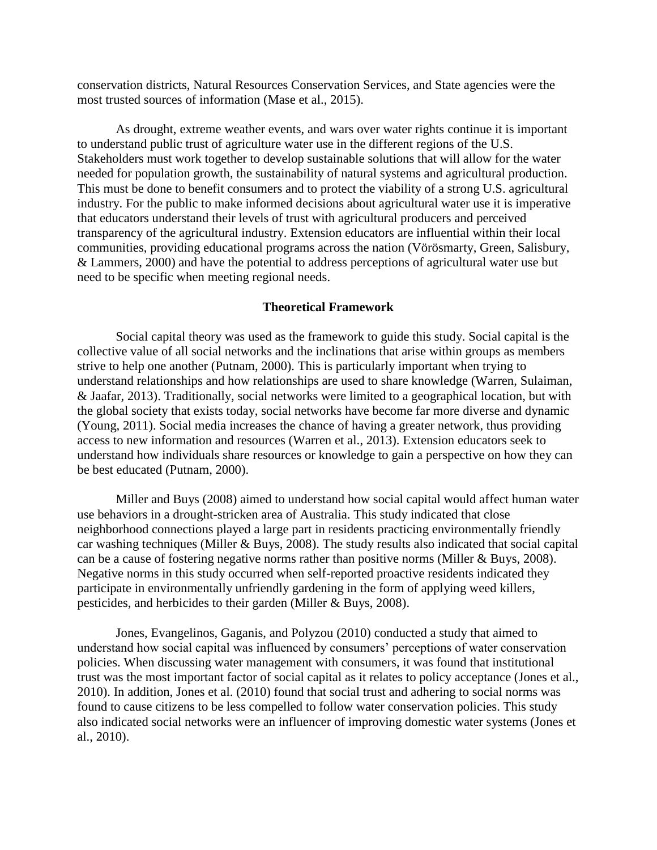conservation districts, Natural Resources Conservation Services, and State agencies were the most trusted sources of information (Mase et al., 2015).

As drought, extreme weather events, and wars over water rights continue it is important to understand public trust of agriculture water use in the different regions of the U.S. Stakeholders must work together to develop sustainable solutions that will allow for the water needed for population growth, the sustainability of natural systems and agricultural production. This must be done to benefit consumers and to protect the viability of a strong U.S. agricultural industry. For the public to make informed decisions about agricultural water use it is imperative that educators understand their levels of trust with agricultural producers and perceived transparency of the agricultural industry. Extension educators are influential within their local communities, providing educational programs across the nation (Vörösmarty, Green, Salisbury, & Lammers, 2000) and have the potential to address perceptions of agricultural water use but need to be specific when meeting regional needs.

#### **Theoretical Framework**

Social capital theory was used as the framework to guide this study. Social capital is the collective value of all social networks and the inclinations that arise within groups as members strive to help one another (Putnam, 2000). This is particularly important when trying to understand relationships and how relationships are used to share knowledge (Warren, Sulaiman, & Jaafar, 2013). Traditionally, social networks were limited to a geographical location, but with the global society that exists today, social networks have become far more diverse and dynamic (Young, 2011). Social media increases the chance of having a greater network, thus providing access to new information and resources (Warren et al., 2013). Extension educators seek to understand how individuals share resources or knowledge to gain a perspective on how they can be best educated (Putnam, 2000).

Miller and Buys (2008) aimed to understand how social capital would affect human water use behaviors in a drought-stricken area of Australia. This study indicated that close neighborhood connections played a large part in residents practicing environmentally friendly car washing techniques (Miller & Buys, 2008). The study results also indicated that social capital can be a cause of fostering negative norms rather than positive norms (Miller & Buys, 2008). Negative norms in this study occurred when self-reported proactive residents indicated they participate in environmentally unfriendly gardening in the form of applying weed killers, pesticides, and herbicides to their garden (Miller & Buys, 2008).

Jones, Evangelinos, Gaganis, and Polyzou (2010) conducted a study that aimed to understand how social capital was influenced by consumers' perceptions of water conservation policies. When discussing water management with consumers, it was found that institutional trust was the most important factor of social capital as it relates to policy acceptance (Jones et al., 2010). In addition, Jones et al. (2010) found that social trust and adhering to social norms was found to cause citizens to be less compelled to follow water conservation policies. This study also indicated social networks were an influencer of improving domestic water systems (Jones et al., 2010).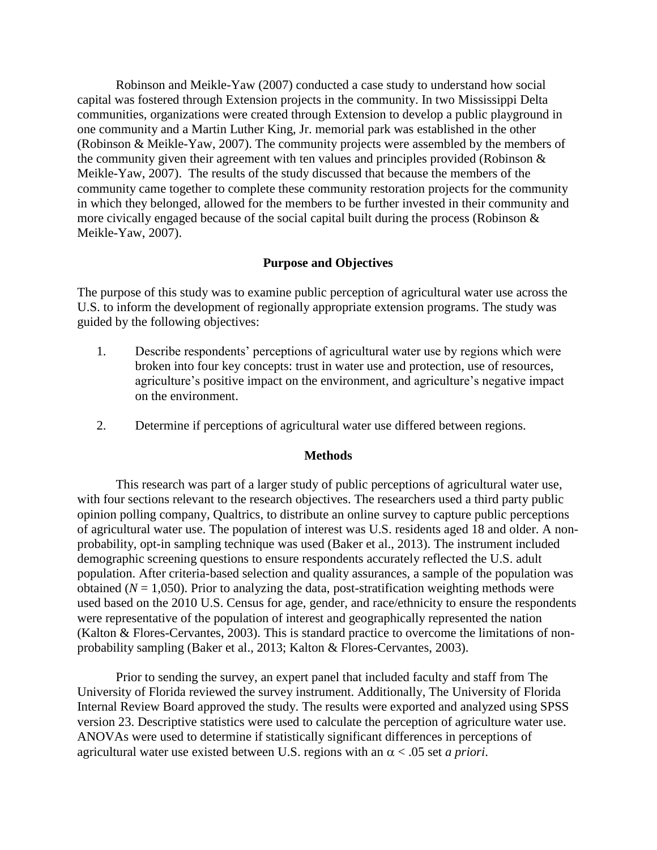Robinson and Meikle-Yaw (2007) conducted a case study to understand how social capital was fostered through Extension projects in the community. In two Mississippi Delta communities, organizations were created through Extension to develop a public playground in one community and a Martin Luther King, Jr. memorial park was established in the other (Robinson & Meikle-Yaw, 2007). The community projects were assembled by the members of the community given their agreement with ten values and principles provided (Robinson & Meikle-Yaw, 2007). The results of the study discussed that because the members of the community came together to complete these community restoration projects for the community in which they belonged, allowed for the members to be further invested in their community and more civically engaged because of the social capital built during the process (Robinson & Meikle-Yaw, 2007).

## **Purpose and Objectives**

The purpose of this study was to examine public perception of agricultural water use across the U.S. to inform the development of regionally appropriate extension programs. The study was guided by the following objectives:

- 1. Describe respondents' perceptions of agricultural water use by regions which were broken into four key concepts: trust in water use and protection, use of resources, agriculture's positive impact on the environment, and agriculture's negative impact on the environment.
- 2. Determine if perceptions of agricultural water use differed between regions.

## **Methods**

This research was part of a larger study of public perceptions of agricultural water use, with four sections relevant to the research objectives. The researchers used a third party public opinion polling company, Qualtrics, to distribute an online survey to capture public perceptions of agricultural water use. The population of interest was U.S. residents aged 18 and older. A nonprobability, opt-in sampling technique was used (Baker et al., 2013). The instrument included demographic screening questions to ensure respondents accurately reflected the U.S. adult population. After criteria-based selection and quality assurances, a sample of the population was obtained ( $N = 1,050$ ). Prior to analyzing the data, post-stratification weighting methods were used based on the 2010 U.S. Census for age, gender, and race/ethnicity to ensure the respondents were representative of the population of interest and geographically represented the nation (Kalton & Flores-Cervantes, 2003). This is standard practice to overcome the limitations of nonprobability sampling (Baker et al., 2013; Kalton & Flores-Cervantes, 2003).

Prior to sending the survey, an expert panel that included faculty and staff from The University of Florida reviewed the survey instrument. Additionally, The University of Florida Internal Review Board approved the study. The results were exported and analyzed using SPSS version 23. Descriptive statistics were used to calculate the perception of agriculture water use. ANOVAs were used to determine if statistically significant differences in perceptions of agricultural water use existed between U.S. regions with an  $\alpha$  < .05 set *a priori*.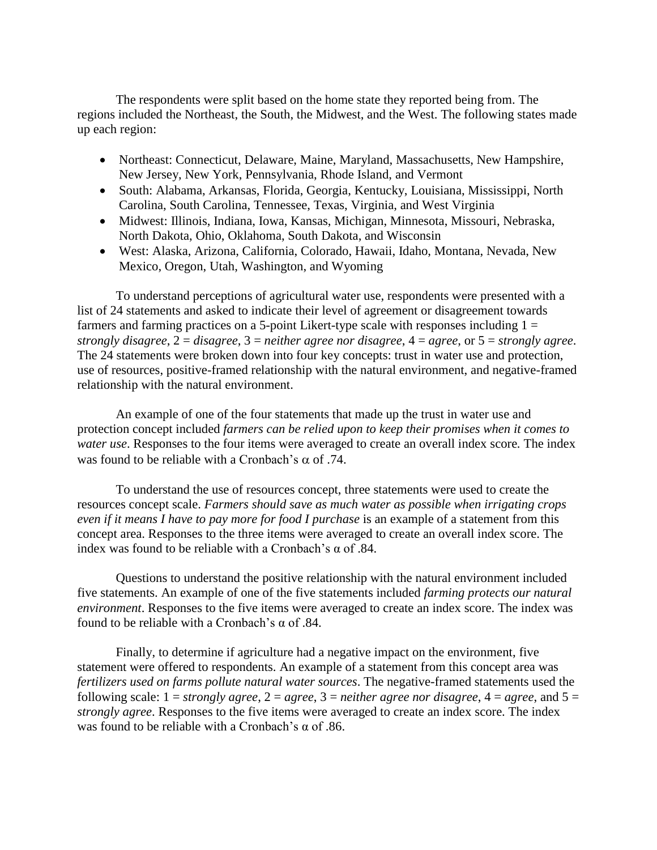The respondents were split based on the home state they reported being from. The regions included the Northeast, the South, the Midwest, and the West. The following states made up each region:

- Northeast: Connecticut, Delaware, Maine, Maryland, Massachusetts, New Hampshire, New Jersey, New York, Pennsylvania, Rhode Island, and Vermont
- South: Alabama, Arkansas, Florida, Georgia, Kentucky, Louisiana, Mississippi, North Carolina, South Carolina, Tennessee, Texas, Virginia, and West Virginia
- Midwest: Illinois, Indiana, Iowa, Kansas, Michigan, Minnesota, Missouri, Nebraska, North Dakota, Ohio, Oklahoma, South Dakota, and Wisconsin
- West: Alaska, Arizona, California, Colorado, Hawaii, Idaho, Montana, Nevada, New Mexico, Oregon, Utah, Washington, and Wyoming

To understand perceptions of agricultural water use, respondents were presented with a list of 24 statements and asked to indicate their level of agreement or disagreement towards farmers and farming practices on a 5-point Likert-type scale with responses including  $1 =$ *strongly disagree*, 2 = *disagree*, 3 = *neither agree nor disagree*, 4 = *agree*, or 5 = *strongly agree*. The 24 statements were broken down into four key concepts: trust in water use and protection, use of resources, positive-framed relationship with the natural environment, and negative-framed relationship with the natural environment.

An example of one of the four statements that made up the trust in water use and protection concept included *farmers can be relied upon to keep their promises when it comes to water use*. Responses to the four items were averaged to create an overall index score*.* The index was found to be reliable with a Cronbach's  $\alpha$  of .74.

To understand the use of resources concept, three statements were used to create the resources concept scale. *Farmers should save as much water as possible when irrigating crops even if it means I have to pay more for food I purchase* is an example of a statement from this concept area. Responses to the three items were averaged to create an overall index score. The index was found to be reliable with a Cronbach's  $\alpha$  of .84.

Questions to understand the positive relationship with the natural environment included five statements. An example of one of the five statements included *farming protects our natural environment*. Responses to the five items were averaged to create an index score. The index was found to be reliable with a Cronbach's  $\alpha$  of .84.

Finally, to determine if agriculture had a negative impact on the environment, five statement were offered to respondents. An example of a statement from this concept area was *fertilizers used on farms pollute natural water sources*. The negative-framed statements used the following scale:  $1 =$  *strongly agree,*  $2 =$  *agree,*  $3 =$  *neither agree nor disagree,*  $4 =$  *agree,* and  $5 =$ *strongly agree*. Responses to the five items were averaged to create an index score. The index was found to be reliable with a Cronbach's  $\alpha$  of .86.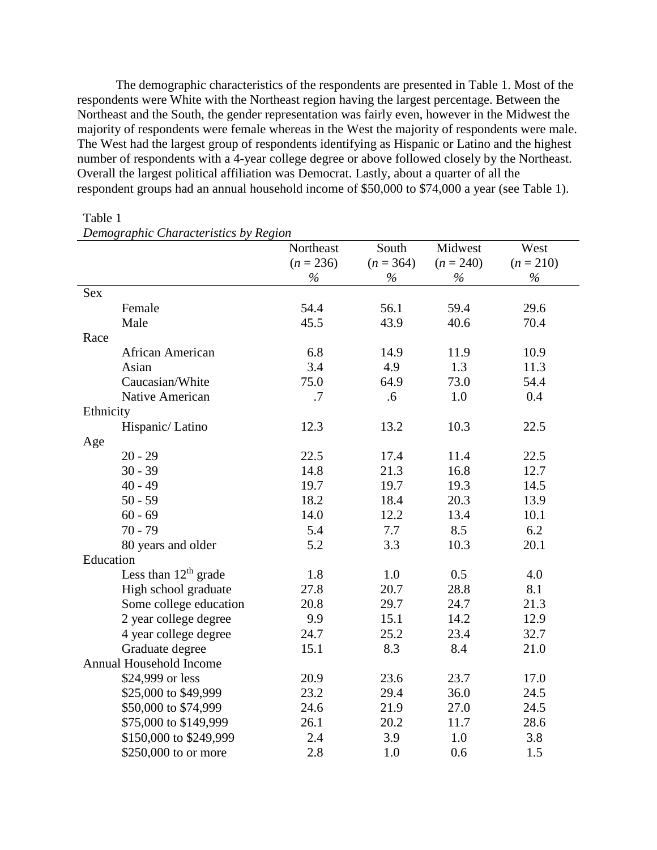The demographic characteristics of the respondents are presented in Table 1. Most of the respondents were White with the Northeast region having the largest percentage. Between the Northeast and the South, the gender representation was fairly even, however in the Midwest the majority of respondents were female whereas in the West the majority of respondents were male. The West had the largest group of respondents identifying as Hispanic or Latino and the highest number of respondents with a 4-year college degree or above followed closely by the Northeast. Overall the largest political affiliation was Democrat. Lastly, about a quarter of all the respondent groups had an annual household income of \$50,000 to \$74,000 a year (see Table 1).

| $D$ chio $\chi$ raphic Characteristics $\sigma$ ) | Northeast   | South       | Midwest     | West        |
|---------------------------------------------------|-------------|-------------|-------------|-------------|
|                                                   | $(n = 236)$ | $(n = 364)$ | $(n = 240)$ | $(n = 210)$ |
|                                                   | $\%$        | $\%$        | $\%$        | $\%$        |
| Sex                                               |             |             |             |             |
| Female                                            | 54.4        | 56.1        | 59.4        | 29.6        |
| Male                                              | 45.5        | 43.9        | 40.6        | 70.4        |
| Race                                              |             |             |             |             |
| African American                                  | 6.8         | 14.9        | 11.9        | 10.9        |
| Asian                                             | 3.4         | 4.9         | 1.3         | 11.3        |
| Caucasian/White                                   | 75.0        | 64.9        | 73.0        | 54.4        |
|                                                   |             |             |             |             |
| Native American                                   | .7          | .6          | 1.0         | 0.4         |
| Ethnicity                                         |             |             |             |             |
| Hispanic/Latino                                   | 12.3        | 13.2        | 10.3        | 22.5        |
| Age                                               |             |             |             |             |
| $20 - 29$                                         | 22.5        | 17.4        | 11.4        | 22.5        |
| $30 - 39$                                         | 14.8        | 21.3        | 16.8        | 12.7        |
| $40 - 49$                                         | 19.7        | 19.7        | 19.3        | 14.5        |
| $50 - 59$                                         | 18.2        | 18.4        | 20.3        | 13.9        |
| $60 - 69$                                         | 14.0        | 12.2        | 13.4        | 10.1        |
| $70 - 79$                                         | 5.4         | 7.7         | 8.5         | 6.2         |
| 80 years and older                                | 5.2         | 3.3         | 10.3        | 20.1        |
| Education                                         |             |             |             |             |
| Less than $12th$ grade                            | 1.8         | 1.0         | 0.5         | 4.0         |
| High school graduate                              | 27.8        | 20.7        | 28.8        | 8.1         |
| Some college education                            | 20.8        | 29.7        | 24.7        | 21.3        |
| 2 year college degree                             | 9.9         | 15.1        | 14.2        | 12.9        |
| 4 year college degree                             | 24.7        | 25.2        | 23.4        | 32.7        |
| Graduate degree                                   | 15.1        | 8.3         | 8.4         | 21.0        |
| Annual Household Income                           |             |             |             |             |
| \$24,999 or less                                  | 20.9        | 23.6        | 23.7        | 17.0        |
| \$25,000 to \$49,999                              | 23.2        | 29.4        | 36.0        | 24.5        |
| \$50,000 to \$74,999                              | 24.6        | 21.9        | 27.0        | 24.5        |
| \$75,000 to \$149,999                             | 26.1        | 20.2        | 11.7        | 28.6        |
| \$150,000 to \$249,999                            | 2.4         | 3.9         | 1.0         | 3.8         |
| \$250,000 to or more                              | 2.8         | 1.0         | 0.6         | 1.5         |

# Table 1

| Demographic Characteristics by Region |
|---------------------------------------|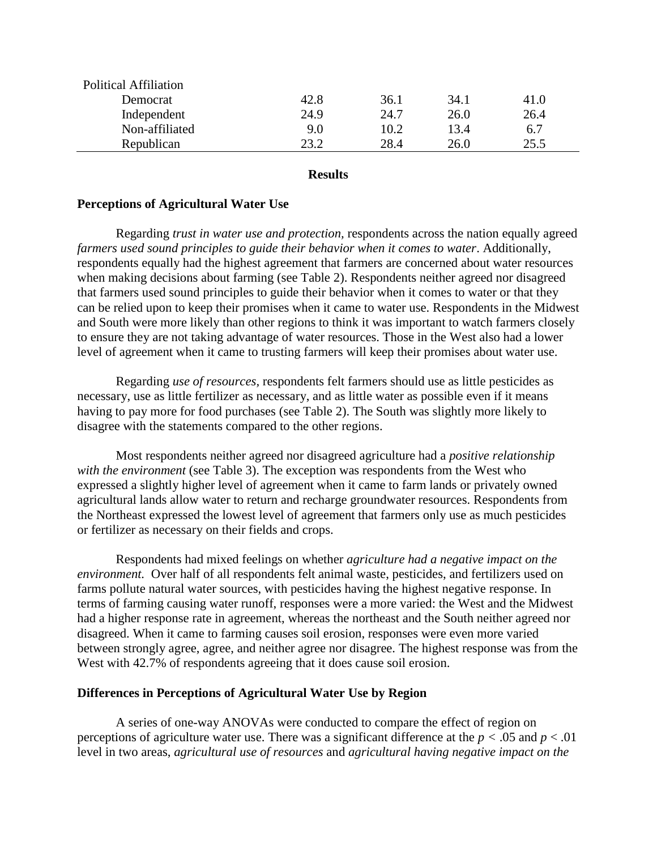| <b>Political Affiliation</b> |      |      |      |      |  |
|------------------------------|------|------|------|------|--|
| Democrat                     | 42.8 | 36.1 | 34.1 | 41.0 |  |
| Independent                  | 24.9 | 24.7 | 26.0 | 26.4 |  |
| Non-affiliated               | 9.0  | 10.2 | 13.4 | 6.7  |  |
| Republican                   | າ3 າ | 28.4 | 26.0 | 25.5 |  |
|                              |      |      |      |      |  |

#### **Results**

## **Perceptions of Agricultural Water Use**

Regarding *trust in water use and protection,* respondents across the nation equally agreed *farmers used sound principles to guide their behavior when it comes to water*. Additionally, respondents equally had the highest agreement that farmers are concerned about water resources when making decisions about farming (see Table 2). Respondents neither agreed nor disagreed that farmers used sound principles to guide their behavior when it comes to water or that they can be relied upon to keep their promises when it came to water use. Respondents in the Midwest and South were more likely than other regions to think it was important to watch farmers closely to ensure they are not taking advantage of water resources. Those in the West also had a lower level of agreement when it came to trusting farmers will keep their promises about water use.

Regarding *use of resources,* respondents felt farmers should use as little pesticides as necessary, use as little fertilizer as necessary, and as little water as possible even if it means having to pay more for food purchases (see Table 2). The South was slightly more likely to disagree with the statements compared to the other regions.

Most respondents neither agreed nor disagreed agriculture had a *positive relationship with the environment* (see Table 3). The exception was respondents from the West who expressed a slightly higher level of agreement when it came to farm lands or privately owned agricultural lands allow water to return and recharge groundwater resources. Respondents from the Northeast expressed the lowest level of agreement that farmers only use as much pesticides or fertilizer as necessary on their fields and crops.

Respondents had mixed feelings on whether *agriculture had a negative impact on the environment.* Over half of all respondents felt animal waste, pesticides, and fertilizers used on farms pollute natural water sources, with pesticides having the highest negative response. In terms of farming causing water runoff, responses were a more varied: the West and the Midwest had a higher response rate in agreement, whereas the northeast and the South neither agreed nor disagreed. When it came to farming causes soil erosion, responses were even more varied between strongly agree, agree, and neither agree nor disagree. The highest response was from the West with 42.7% of respondents agreeing that it does cause soil erosion.

#### **Differences in Perceptions of Agricultural Water Use by Region**

A series of one-way ANOVAs were conducted to compare the effect of region on perceptions of agriculture water use. There was a significant difference at the  $p < .05$  and  $p < .01$ level in two areas, *agricultural use of resources* and *agricultural having negative impact on the*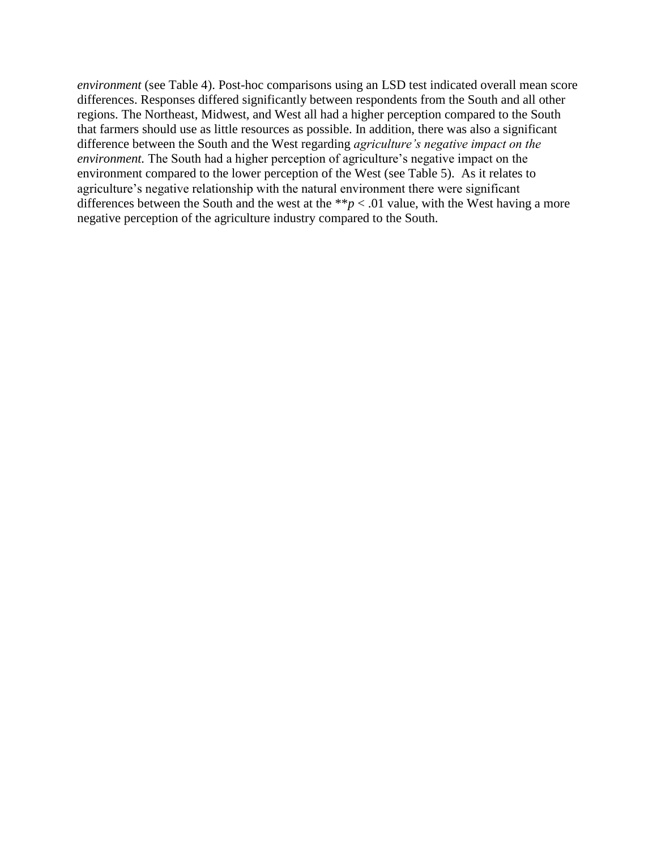*environment* (see Table 4). Post-hoc comparisons using an LSD test indicated overall mean score differences. Responses differed significantly between respondents from the South and all other regions. The Northeast, Midwest, and West all had a higher perception compared to the South that farmers should use as little resources as possible. In addition, there was also a significant difference between the South and the West regarding *agriculture's negative impact on the environment.* The South had a higher perception of agriculture's negative impact on the environment compared to the lower perception of the West (see Table 5). As it relates to agriculture's negative relationship with the natural environment there were significant differences between the South and the west at the  $**p < .01$  value, with the West having a more negative perception of the agriculture industry compared to the South.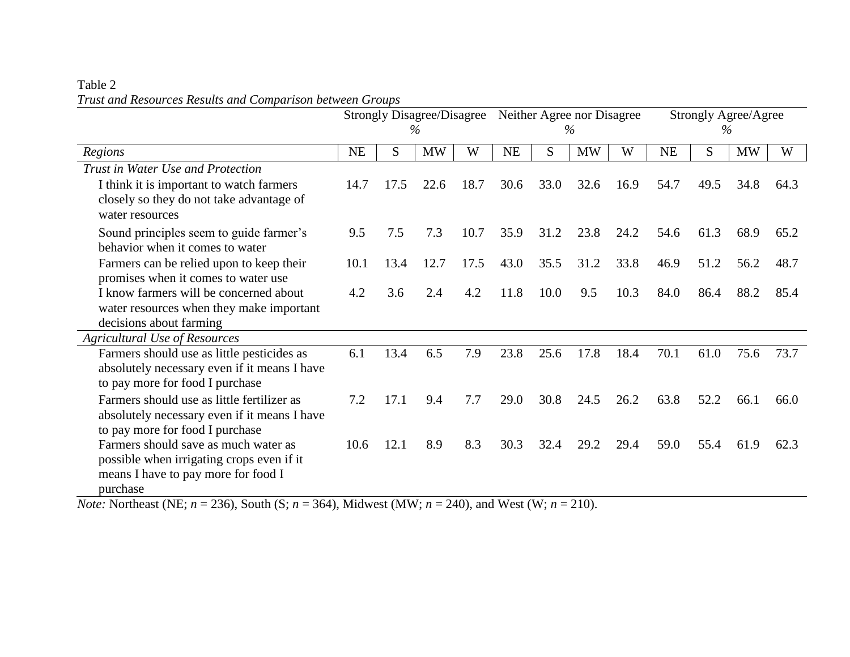# Table 2 *Trust and Resources Results and Comparison between Groups*

|                                                             | <b>Strongly Disagree/Disagree</b><br>$\%$ |      |           |      | Neither Agree nor Disagree<br>$\%$ |      | <b>Strongly Agree/Agree</b><br>$\%$ |      |      |      |           |      |
|-------------------------------------------------------------|-------------------------------------------|------|-----------|------|------------------------------------|------|-------------------------------------|------|------|------|-----------|------|
|                                                             |                                           |      |           |      |                                    |      |                                     |      |      |      |           |      |
| Regions                                                     | NE                                        | S    | <b>MW</b> | W    | <b>NE</b>                          | S    | <b>MW</b>                           | W    | NE   | S    | <b>MW</b> | W    |
| Trust in Water Use and Protection                           |                                           |      |           |      |                                    |      |                                     |      |      |      |           |      |
| I think it is important to watch farmers                    | 14.7                                      | 17.5 | 22.6      | 18.7 | 30.6                               | 33.0 | 32.6                                | 16.9 | 54.7 | 49.5 | 34.8      | 64.3 |
| closely so they do not take advantage of<br>water resources |                                           |      |           |      |                                    |      |                                     |      |      |      |           |      |
| Sound principles seem to guide farmer's                     | 9.5                                       | 7.5  | 7.3       | 10.7 | 35.9                               | 31.2 | 23.8                                | 24.2 | 54.6 | 61.3 | 68.9      | 65.2 |
| behavior when it comes to water                             |                                           |      |           |      |                                    |      |                                     |      |      |      |           |      |
| Farmers can be relied upon to keep their                    | 10.1                                      | 13.4 | 12.7      | 17.5 | 43.0                               | 35.5 | 31.2                                | 33.8 | 46.9 | 51.2 | 56.2      | 48.7 |
| promises when it comes to water use                         |                                           |      |           |      |                                    |      |                                     |      |      |      |           |      |
| I know farmers will be concerned about                      | 4.2                                       | 3.6  | 2.4       | 4.2  | 11.8                               | 10.0 | 9.5                                 | 10.3 | 84.0 | 86.4 | 88.2      | 85.4 |
| water resources when they make important                    |                                           |      |           |      |                                    |      |                                     |      |      |      |           |      |
| decisions about farming                                     |                                           |      |           |      |                                    |      |                                     |      |      |      |           |      |
| <b>Agricultural Use of Resources</b>                        |                                           |      |           |      |                                    |      |                                     |      |      |      |           |      |
| Farmers should use as little pesticides as                  | 6.1                                       | 13.4 | 6.5       | 7.9  | 23.8                               | 25.6 | 17.8                                | 18.4 | 70.1 | 61.0 | 75.6      | 73.7 |
| absolutely necessary even if it means I have                |                                           |      |           |      |                                    |      |                                     |      |      |      |           |      |
| to pay more for food I purchase                             |                                           |      |           |      |                                    |      |                                     |      |      |      |           |      |
| Farmers should use as little fertilizer as                  | 7.2                                       | 17.1 | 9.4       | 7.7  | 29.0                               | 30.8 | 24.5                                | 26.2 | 63.8 | 52.2 | 66.1      | 66.0 |
| absolutely necessary even if it means I have                |                                           |      |           |      |                                    |      |                                     |      |      |      |           |      |
| to pay more for food I purchase                             |                                           |      |           |      |                                    |      |                                     |      |      |      |           |      |
| Farmers should save as much water as                        | 10.6                                      | 12.1 | 8.9       | 8.3  | 30.3                               | 32.4 | 29.2                                | 29.4 | 59.0 | 55.4 | 61.9      | 62.3 |
| possible when irrigating crops even if it                   |                                           |      |           |      |                                    |      |                                     |      |      |      |           |      |
| means I have to pay more for food I                         |                                           |      |           |      |                                    |      |                                     |      |      |      |           |      |
| purchase                                                    |                                           |      |           |      |                                    |      |                                     |      |      |      |           |      |

*Note:* Northeast (NE; *n* = 236), South (S; *n* = 364), Midwest (MW; *n* = 240), and West (W; *n* = 210).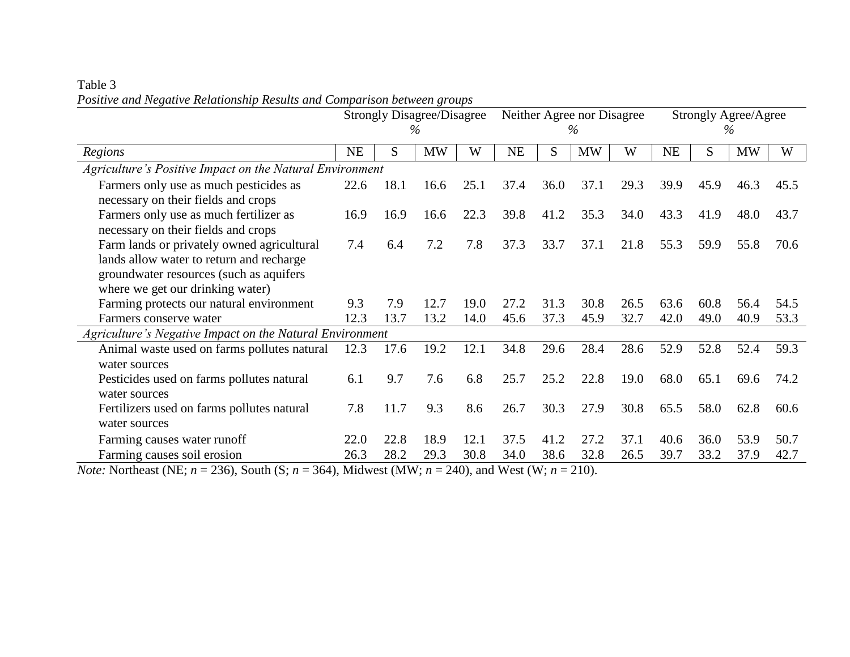|                                                          | <b>Strongly Disagree/Disagree</b> |      |           |      |           | Neither Agree nor Disagree |           | <b>Strongly Agree/Agree</b> |           |      |           |      |
|----------------------------------------------------------|-----------------------------------|------|-----------|------|-----------|----------------------------|-----------|-----------------------------|-----------|------|-----------|------|
|                                                          |                                   |      | $\%$      |      |           |                            | $\%$      |                             |           |      | $\%$      |      |
| Regions                                                  | <b>NE</b>                         | S    | <b>MW</b> | W    | <b>NE</b> | S.                         | <b>MW</b> | W                           | <b>NE</b> | S    | <b>MW</b> | W    |
| Agriculture's Positive Impact on the Natural Environment |                                   |      |           |      |           |                            |           |                             |           |      |           |      |
| Farmers only use as much pesticides as                   | 22.6                              | 18.1 | 16.6      | 25.1 | 37.4      | 36.0                       | 37.1      | 29.3                        | 39.9      | 45.9 | 46.3      | 45.5 |
| necessary on their fields and crops                      |                                   |      |           |      |           |                            |           |                             |           |      |           |      |
| Farmers only use as much fertilizer as                   | 16.9                              | 16.9 | 16.6      | 22.3 | 39.8      | 41.2                       | 35.3      | 34.0                        | 43.3      | 41.9 | 48.0      | 43.7 |
| necessary on their fields and crops                      |                                   |      |           |      |           |                            |           |                             |           |      |           |      |
| Farm lands or privately owned agricultural               | 7.4                               | 6.4  | 7.2       | 7.8  | 37.3      | 33.7                       | 37.1      | 21.8                        | 55.3      | 59.9 | 55.8      | 70.6 |
| lands allow water to return and recharge                 |                                   |      |           |      |           |                            |           |                             |           |      |           |      |
| groundwater resources (such as aquifers                  |                                   |      |           |      |           |                            |           |                             |           |      |           |      |
| where we get our drinking water)                         |                                   |      |           |      |           |                            |           |                             |           |      |           |      |
| Farming protects our natural environment                 | 9.3                               | 7.9  | 12.7      | 19.0 | 27.2      | 31.3                       | 30.8      | 26.5                        | 63.6      | 60.8 | 56.4      | 54.5 |
| Farmers conserve water                                   | 12.3                              | 13.7 | 13.2      | 14.0 | 45.6      | 37.3                       | 45.9      | 32.7                        | 42.0      | 49.0 | 40.9      | 53.3 |
| Agriculture's Negative Impact on the Natural Environment |                                   |      |           |      |           |                            |           |                             |           |      |           |      |
| Animal waste used on farms pollutes natural              | 12.3                              | 17.6 | 19.2      | 12.1 | 34.8      | 29.6                       | 28.4      | 28.6                        | 52.9      | 52.8 | 52.4      | 59.3 |
| water sources                                            |                                   |      |           |      |           |                            |           |                             |           |      |           |      |
| Pesticides used on farms pollutes natural                | 6.1                               | 9.7  | 7.6       | 6.8  | 25.7      | 25.2                       | 22.8      | 19.0                        | 68.0      | 65.1 | 69.6      | 74.2 |
| water sources                                            |                                   |      |           |      |           |                            |           |                             |           |      |           |      |
| Fertilizers used on farms pollutes natural               | 7.8                               | 11.7 | 9.3       | 8.6  | 26.7      | 30.3                       | 27.9      | 30.8                        | 65.5      | 58.0 | 62.8      | 60.6 |
| water sources                                            |                                   |      |           |      |           |                            |           |                             |           |      |           |      |
| Farming causes water runoff                              | 22.0                              | 22.8 | 18.9      | 12.1 | 37.5      | 41.2                       | 27.2      | 37.1                        | 40.6      | 36.0 | 53.9      | 50.7 |
| Farming causes soil erosion                              | 26.3                              | 28.2 | 29.3      | 30.8 | 34.0      | 38.6                       | 32.8      | 26.5                        | 39.7      | 33.2 | 37.9      | 42.7 |

Table 3 *Positive and Negative Relationship Results and Comparison between groups*

*Note:* Northeast (NE;  $n = 236$ ), South (S;  $n = 364$ ), Midwest (MW;  $n = 240$ ), and West (W;  $n = 210$ ).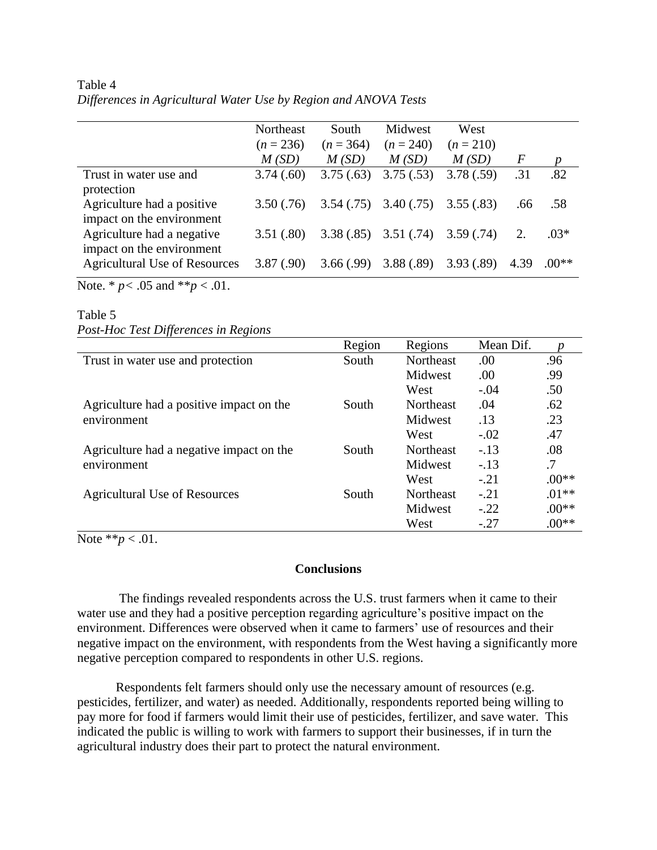| Table 4 |                                                                 |  |
|---------|-----------------------------------------------------------------|--|
|         | Differences in Agricultural Water Use by Region and ANOVA Tests |  |

|                                                                   | Northeast<br>$(n = 236)$ | South<br>$(n = 364)$ | <b>Midwest</b><br>$(n = 240)$ | West<br>$(n = 210)$ |                |         |
|-------------------------------------------------------------------|--------------------------|----------------------|-------------------------------|---------------------|----------------|---------|
|                                                                   | M(SD)                    | M(SD)                | M(SD)                         | M(SD)               | $\overline{F}$ | n       |
| Trust in water use and<br>protection                              | 3.74(.60)                | 3.75(.63)            | 3.75(.53)                     | 3.78(.59)           | .31            | .82     |
|                                                                   |                          |                      |                               |                     |                |         |
| Agriculture had a positive<br>impact on the environment           | 3.50(.76)                | 3.54(.75)            | 3.40(.75)                     | 3.55(.83)           | .66            | .58     |
| Agriculture had a negative                                        | 3.51(.80)                | 3.38(.85)            | 3.51(.74)                     | 3.59(.74)           | 2.             | $.03*$  |
| impact on the environment<br><b>Agricultural Use of Resources</b> | 3.87(.90)                | 3.66(.99)            | 3.88(.89)                     | 3.93(.89)           | 4.39           | $.00**$ |

Note. \* *p<* .05 and \*\**p* < .01.

# Table 5 *Post-Hoc Test Differences in Regions*

|                                          | Region | Regions          | Mean Dif. |         |
|------------------------------------------|--------|------------------|-----------|---------|
| Trust in water use and protection        | South  | Northeast        | .00       | .96     |
|                                          |        | Midwest          | .00.      | .99     |
|                                          |        | West             | $-.04$    | .50     |
| Agriculture had a positive impact on the | South  | <b>Northeast</b> | .04       | .62     |
| environment                              |        | Midwest          | .13       | .23     |
|                                          |        | West             | $-.02$    | .47     |
| Agriculture had a negative impact on the | South  | Northeast        | $-.13$    | .08     |
| environment                              |        | Midwest          | $-.13$    | .7      |
|                                          |        | West             | $-.21$    | $.00**$ |
| <b>Agricultural Use of Resources</b>     | South  | Northeast        | $-.21$    | $.01**$ |
|                                          |        | Midwest          | $-.22$    | $.00**$ |
|                                          |        | West             | $-.27$    | $.00**$ |

Note \*\**p* < .01.

## **Conclusions**

The findings revealed respondents across the U.S. trust farmers when it came to their water use and they had a positive perception regarding agriculture's positive impact on the environment. Differences were observed when it came to farmers' use of resources and their negative impact on the environment, with respondents from the West having a significantly more negative perception compared to respondents in other U.S. regions.

Respondents felt farmers should only use the necessary amount of resources (e.g. pesticides, fertilizer, and water) as needed. Additionally, respondents reported being willing to pay more for food if farmers would limit their use of pesticides, fertilizer, and save water. This indicated the public is willing to work with farmers to support their businesses, if in turn the agricultural industry does their part to protect the natural environment.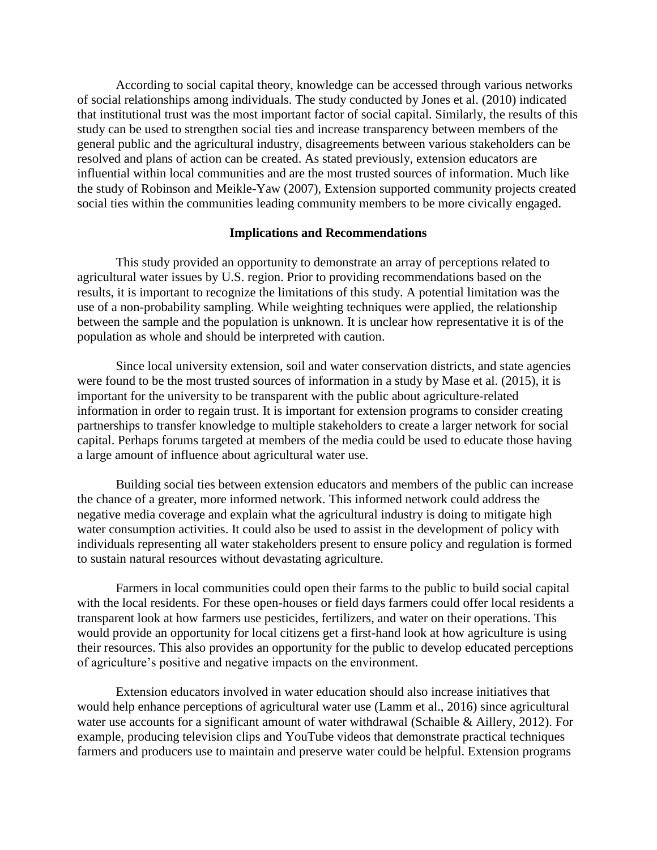According to social capital theory, knowledge can be accessed through various networks of social relationships among individuals. The study conducted by Jones et al. (2010) indicated that institutional trust was the most important factor of social capital. Similarly, the results of this study can be used to strengthen social ties and increase transparency between members of the general public and the agricultural industry, disagreements between various stakeholders can be resolved and plans of action can be created. As stated previously, extension educators are influential within local communities and are the most trusted sources of information. Much like the study of Robinson and Meikle-Yaw (2007), Extension supported community projects created social ties within the communities leading community members to be more civically engaged.

#### **Implications and Recommendations**

This study provided an opportunity to demonstrate an array of perceptions related to agricultural water issues by U.S. region. Prior to providing recommendations based on the results, it is important to recognize the limitations of this study. A potential limitation was the use of a non-probability sampling. While weighting techniques were applied, the relationship between the sample and the population is unknown. It is unclear how representative it is of the population as whole and should be interpreted with caution.

Since local university extension, soil and water conservation districts, and state agencies were found to be the most trusted sources of information in a study by Mase et al. (2015), it is important for the university to be transparent with the public about agriculture-related information in order to regain trust. It is important for extension programs to consider creating partnerships to transfer knowledge to multiple stakeholders to create a larger network for social capital. Perhaps forums targeted at members of the media could be used to educate those having a large amount of influence about agricultural water use.

Building social ties between extension educators and members of the public can increase the chance of a greater, more informed network. This informed network could address the negative media coverage and explain what the agricultural industry is doing to mitigate high water consumption activities. It could also be used to assist in the development of policy with individuals representing all water stakeholders present to ensure policy and regulation is formed to sustain natural resources without devastating agriculture.

Farmers in local communities could open their farms to the public to build social capital with the local residents. For these open-houses or field days farmers could offer local residents a transparent look at how farmers use pesticides, fertilizers, and water on their operations. This would provide an opportunity for local citizens get a first-hand look at how agriculture is using their resources. This also provides an opportunity for the public to develop educated perceptions of agriculture's positive and negative impacts on the environment.

Extension educators involved in water education should also increase initiatives that would help enhance perceptions of agricultural water use (Lamm et al., 2016) since agricultural water use accounts for a significant amount of water withdrawal (Schaible & Aillery, 2012). For example, producing television clips and YouTube videos that demonstrate practical techniques farmers and producers use to maintain and preserve water could be helpful. Extension programs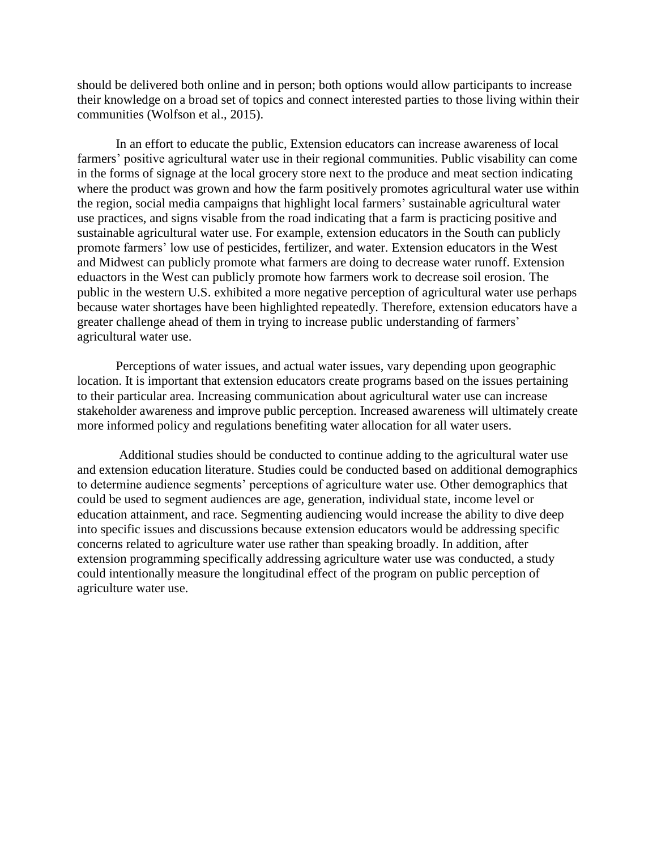should be delivered both online and in person; both options would allow participants to increase their knowledge on a broad set of topics and connect interested parties to those living within their communities (Wolfson et al., 2015).

In an effort to educate the public, Extension educators can increase awareness of local farmers' positive agricultural water use in their regional communities. Public visability can come in the forms of signage at the local grocery store next to the produce and meat section indicating where the product was grown and how the farm positively promotes agricultural water use within the region, social media campaigns that highlight local farmers' sustainable agricultural water use practices, and signs visable from the road indicating that a farm is practicing positive and sustainable agricultural water use. For example, extension educators in the South can publicly promote farmers' low use of pesticides, fertilizer, and water. Extension educators in the West and Midwest can publicly promote what farmers are doing to decrease water runoff. Extension eduactors in the West can publicly promote how farmers work to decrease soil erosion. The public in the western U.S. exhibited a more negative perception of agricultural water use perhaps because water shortages have been highlighted repeatedly. Therefore, extension educators have a greater challenge ahead of them in trying to increase public understanding of farmers' agricultural water use.

Perceptions of water issues, and actual water issues, vary depending upon geographic location. It is important that extension educators create programs based on the issues pertaining to their particular area. Increasing communication about agricultural water use can increase stakeholder awareness and improve public perception. Increased awareness will ultimately create more informed policy and regulations benefiting water allocation for all water users.

Additional studies should be conducted to continue adding to the agricultural water use and extension education literature. Studies could be conducted based on additional demographics to determine audience segments' perceptions of agriculture water use. Other demographics that could be used to segment audiences are age, generation, individual state, income level or education attainment, and race. Segmenting audiencing would increase the ability to dive deep into specific issues and discussions because extension educators would be addressing specific concerns related to agriculture water use rather than speaking broadly. In addition, after extension programming specifically addressing agriculture water use was conducted, a study could intentionally measure the longitudinal effect of the program on public perception of agriculture water use.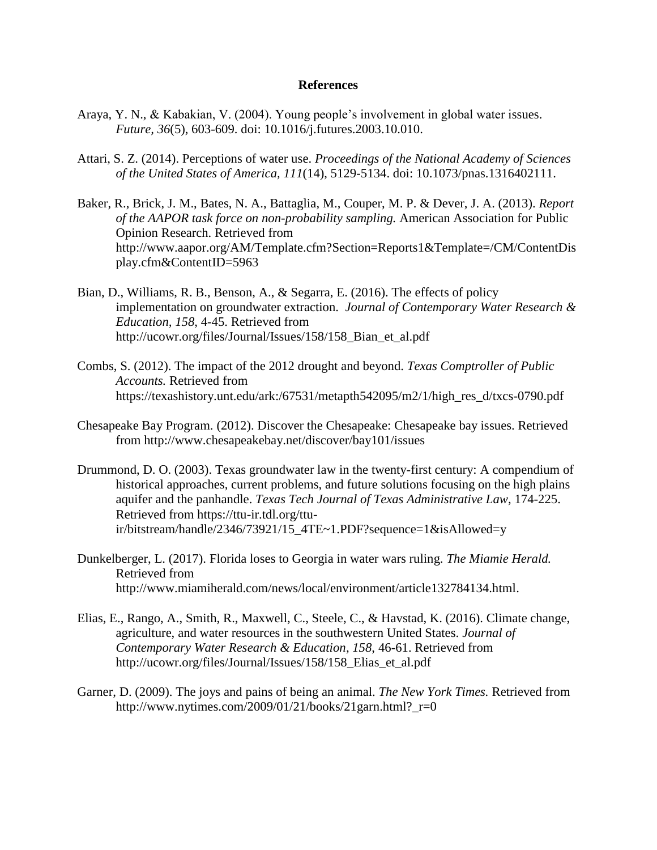#### **References**

- Araya, Y. N., & Kabakian, V. (2004). Young people's involvement in global water issues. *Future, 36*(5), 603-609. doi: 10.1016/j.futures.2003.10.010.
- Attari, S. Z. (2014). Perceptions of water use. *Proceedings of the National Academy of Sciences of the United States of America, 111*(14), 5129-5134. doi: 10.1073/pnas.1316402111.
- Baker, R., Brick, J. M., Bates, N. A., Battaglia, M., Couper, M. P. & Dever, J. A. (2013). *Report of the AAPOR task force on non-probability sampling.* American Association for Public Opinion Research. Retrieved from http://www.aapor.org/AM/Template.cfm?Section=Reports1&Template=/CM/ContentDis play.cfm&ContentID=5963
- Bian, D., Williams, R. B., Benson, A., & Segarra, E. (2016). The effects of policy implementation on groundwater extraction. *Journal of Contemporary Water Research & Education, 158*, 4-45. Retrieved from http://ucowr.org/files/Journal/Issues/158/158\_Bian\_et\_al.pdf
- Combs, S. (2012). The impact of the 2012 drought and beyond. *Texas Comptroller of Public Accounts.* Retrieved from https://texashistory.unt.edu/ark:/67531/metapth542095/m2/1/high\_res\_d/txcs-0790.pdf
- Chesapeake Bay Program. (2012). Discover the Chesapeake: Chesapeake bay issues. Retrieved from http://www.chesapeakebay.net/discover/bay101/issues
- Drummond, D. O. (2003). Texas groundwater law in the twenty-first century: A compendium of historical approaches, current problems, and future solutions focusing on the high plains aquifer and the panhandle. *Texas Tech Journal of Texas Administrative Law*, 174-225. Retrieved from https://ttu-ir.tdl.org/ttuir/bitstream/handle/2346/73921/15\_4TE~1.PDF?sequence=1&isAllowed=y
- Dunkelberger, L. (2017). Florida loses to Georgia in water wars ruling. *The Miamie Herald.*  Retrieved from http://www.miamiherald.com/news/local/environment/article132784134.html.
- Elias, E., Rango, A., Smith, R., Maxwell, C., Steele, C., & Havstad, K. (2016). Climate change, agriculture, and water resources in the southwestern United States. *Journal of Contemporary Water Research & Education, 158*, 46-61. Retrieved from http://ucowr.org/files/Journal/Issues/158/158 Elias et al.pdf
- Garner, D. (2009). The joys and pains of being an animal. *The New York Times.* Retrieved from http://www.nytimes.com/2009/01/21/books/21garn.html?\_r=0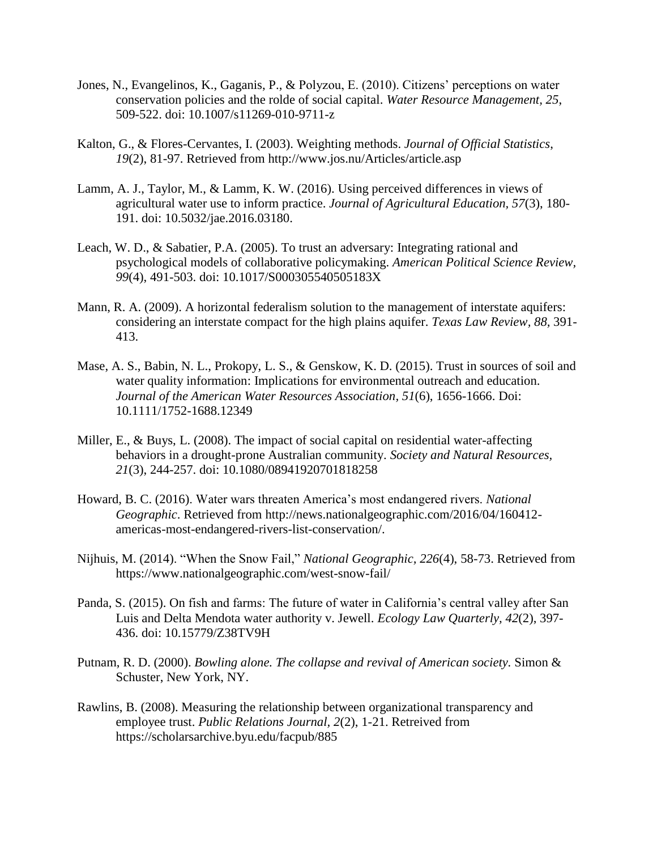- Jones, N., Evangelinos, K., Gaganis, P., & Polyzou, E. (2010). Citizens' perceptions on water conservation policies and the rolde of social capital. *Water Resource Management, 25*, 509-522. doi: 10.1007/s11269-010-9711-z
- Kalton, G., & Flores-Cervantes, I. (2003). Weighting methods. *Journal of Official Statistics*, *19*(2), 81-97. Retrieved from http://www.jos.nu/Articles/article.asp
- Lamm, A. J., Taylor, M., & Lamm, K. W. (2016). Using perceived differences in views of agricultural water use to inform practice. *Journal of Agricultural Education, 57*(3), 180- 191. doi: 10.5032/jae.2016.03180.
- Leach, W. D., & Sabatier, P.A. (2005). To trust an adversary: Integrating rational and psychological models of collaborative policymaking. *American Political Science Review, 99*(4), 491-503. doi: 10.1017/S000305540505183X
- Mann, R. A. (2009). A horizontal federalism solution to the management of interstate aquifers: considering an interstate compact for the high plains aquifer. *Texas Law Review, 88,* 391- 413.
- Mase, A. S., Babin, N. L., Prokopy, L. S., & Genskow, K. D. (2015). Trust in sources of soil and water quality information: Implications for environmental outreach and education. *Journal of the American Water Resources Association, 51*(6), 1656-1666. Doi: 10.1111/1752-1688.12349
- Miller, E., & Buys, L. (2008). The impact of social capital on residential water-affecting behaviors in a drought-prone Australian community. *Society and Natural Resources, 21*(3), 244-257. doi: 10.1080/08941920701818258
- Howard, B. C. (2016). Water wars threaten America's most endangered rivers. *National Geographic*. Retrieved from http://news.nationalgeographic.com/2016/04/160412 americas-most-endangered-rivers-list-conservation/.
- Nijhuis, M. (2014). "When the Snow Fail," *National Geographic, 226*(4), 58-73. Retrieved from https://www.nationalgeographic.com/west-snow-fail/
- Panda, S. (2015). On fish and farms: The future of water in California's central valley after San Luis and Delta Mendota water authority v. Jewell. *Ecology Law Quarterly, 42*(2), 397- 436. doi: 10.15779/Z38TV9H
- Putnam, R. D. (2000). *Bowling alone. The collapse and revival of American society.* Simon & Schuster, New York, NY.
- Rawlins, B. (2008). Measuring the relationship between organizational transparency and employee trust. *Public Relations Journal, 2*(2), 1-21. Retreived from https://scholarsarchive.byu.edu/facpub/885